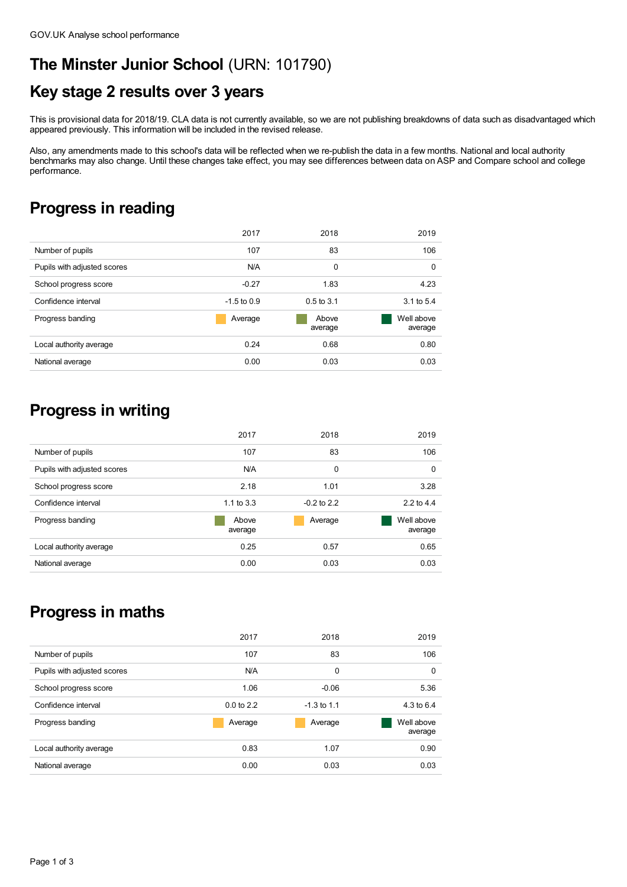### **The Minster Junior School** (URN: 101790)

# **Key stage 2 results over 3 years**

This is provisional data for 2018/19. CLA data is not currently available, so we are not publishing breakdowns of data such as disadvantaged which appeared previously. This information will be included in the revised release.

Also, any amendments made to this school's data will be reflected when we re-publish the data in a few months. National and local authority benchmarks may also change. Until these changes take effect, you may see differences between data on ASP and Compare school and college performance.

#### **Progress in reading**

|                             | 2017          | 2018             | 2019                  |
|-----------------------------|---------------|------------------|-----------------------|
| Number of pupils            | 107           | 83               | 106                   |
| Pupils with adjusted scores | N/A           | 0                | 0                     |
| School progress score       | $-0.27$       | 1.83             | 4.23                  |
| Confidence interval         | $-1.5$ to 0.9 | $0.5$ to $3.1$   | 3.1 to 5.4            |
| Progress banding            | Average       | Above<br>average | Well above<br>average |
| Local authority average     | 0.24          | 0.68             | 0.80                  |
| National average            | 0.00          | 0.03             | 0.03                  |

## **Progress in writing**

|                             | 2017             | 2018          | 2019                  |
|-----------------------------|------------------|---------------|-----------------------|
| Number of pupils            | 107              | 83            | 106                   |
| Pupils with adjusted scores | N/A              | 0             | 0                     |
| School progress score       | 2.18             | 1.01          | 3.28                  |
| Confidence interval         | 1.1 to $3.3$     | $-0.2$ to 2.2 | 2.2 to 4.4            |
| Progress banding            | Above<br>average | Average       | Well above<br>average |
| Local authority average     | 0.25             | 0.57          | 0.65                  |
| National average            | 0.00             | 0.03          | 0.03                  |

# **Progress in maths**

|                             | 2017           | 2018          | 2019                  |
|-----------------------------|----------------|---------------|-----------------------|
| Number of pupils            | 107            | 83            | 106                   |
| Pupils with adjusted scores | N/A            | 0             | 0                     |
| School progress score       | 1.06           | $-0.06$       | 5.36                  |
| Confidence interval         | $0.0$ to $2.2$ | $-1.3$ to 1.1 | 4.3 to 6.4            |
| Progress banding            | Average        | Average       | Well above<br>average |
| Local authority average     | 0.83           | 1.07          | 0.90                  |
| National average            | 0.00           | 0.03          | 0.03                  |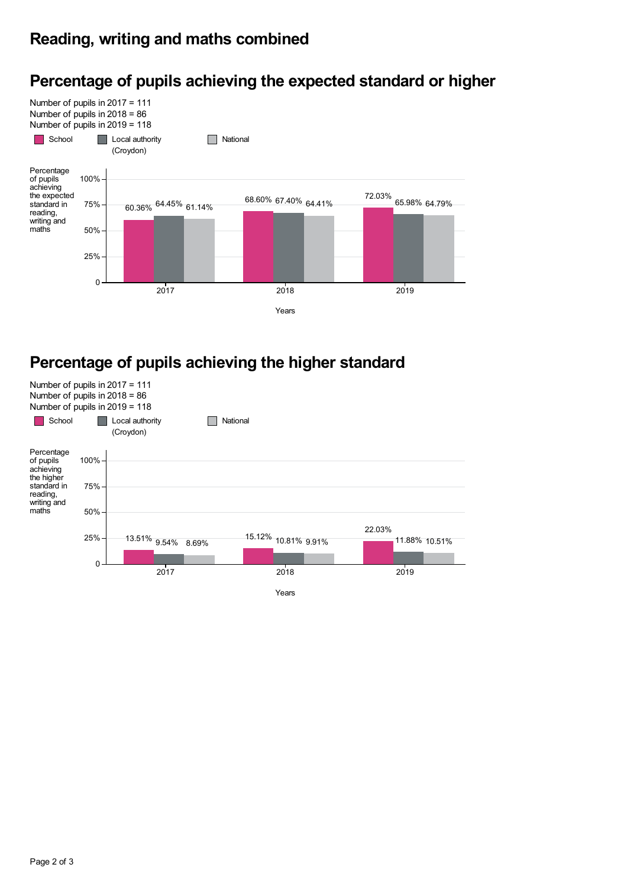#### **Reading, writing and maths combined**



#### **Percentage of pupils achieving the expected standard or higher**

#### **Percentage of pupils achieving the higher standard**